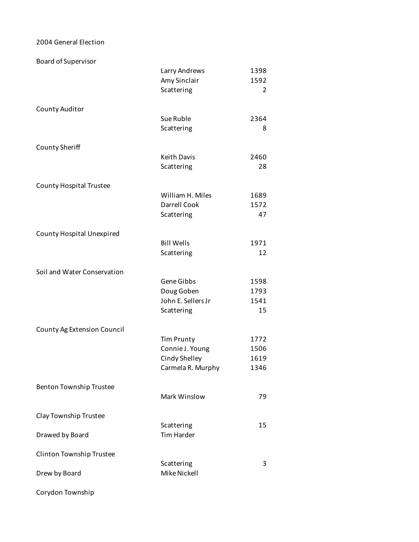## 2004 General Election

Board of Supervisor

|                                | Larry Andrews                        | 1398 |
|--------------------------------|--------------------------------------|------|
|                                | Amy Sinclair                         | 1592 |
|                                | Scattering                           | 2    |
|                                |                                      |      |
| County Auditor                 |                                      |      |
|                                | Sue Ruble                            | 2364 |
|                                | Scattering                           | 8    |
| County Sheriff                 |                                      |      |
|                                | <b>Keith Davis</b>                   | 2460 |
|                                | Scattering                           | 28   |
|                                |                                      |      |
| <b>County Hospital Trustee</b> |                                      |      |
|                                | William H. Miles                     | 1689 |
|                                | Darrell Cook                         | 1572 |
|                                | Scattering                           | 47   |
| County Hospital Unexpired      |                                      |      |
|                                | <b>Bill Wells</b>                    | 1971 |
|                                | Scattering                           | 12   |
|                                |                                      |      |
| Soil and Water Conservation    |                                      |      |
|                                | Gene Gibbs                           | 1598 |
|                                | Doug Goben                           | 1793 |
|                                | John E. Sellers Jr                   | 1541 |
|                                | Scattering                           | 15   |
|                                |                                      |      |
| County Ag Extension Council    |                                      | 1772 |
|                                | <b>Tim Prunty</b><br>Connie J. Young | 1506 |
|                                | Cindy Shelley                        | 1619 |
|                                | Carmela R. Murphy                    | 1346 |
|                                |                                      |      |
| Benton Township Trustee        |                                      |      |
|                                | Mark Winslow                         | 79   |
|                                |                                      |      |
| Clay Township Trustee          |                                      |      |
|                                | Scattering<br><b>Tim Harder</b>      | 15   |
| Drawed by Board                |                                      |      |
| Clinton Township Trustee       |                                      |      |
|                                | Scattering                           | 3    |
| Drew by Board                  | Mike Nickell                         |      |
|                                |                                      |      |
| Corydon Township               |                                      |      |